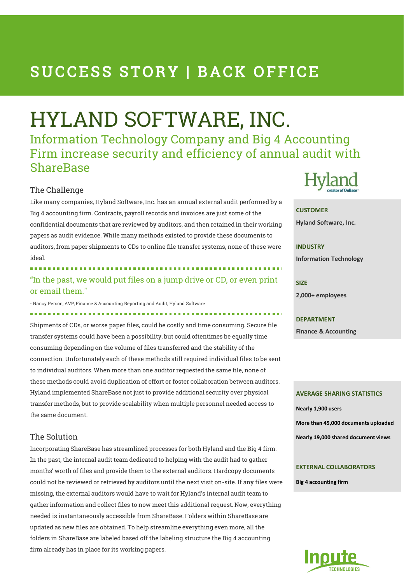## SUCCESS STORY | BACK OFFICE

# HYLAND SOFTWARE, INC.

Information Technology Company and Big 4 Accounting Firm increase security and efficiency of annual audit with ShareBase

#### The Challenge

Like many companies, Hyland Software, Inc. has an annual external audit performed by a Big 4 accounting firm. Contracts, payroll records and invoices are just some of the confidential documents that are reviewed by auditors, and then retained in their working papers as audit evidence. While many methods existed to provide these documents to auditors, from paper shipments to CDs to online file transfer systems, none of these were ideal.

"In the past, we would put files on a jump drive or CD, or even print or email them."

- Nancy Person, AVP, Finance & Accounting Reporting and Audit, Hyland Software

Shipments of CDs, or worse paper files, could be costly and time consuming. Secure file transfer systems could have been a possibility, but could oftentimes be equally time consuming depending on the volume of files transferred and the stability of the connection. Unfortunately each of these methods still required individual files to be sent to individual auditors. When more than one auditor requested the same file, none of these methods could avoid duplication of effort or foster collaboration between auditors. Hyland implemented ShareBase not just to provide additional security over physical transfer methods, but to provide scalability when multiple personnel needed access to the same document.

#### The Solution

Incorporating ShareBase has streamlined processes for both Hyland and the Big 4 firm. In the past, the internal audit team dedicated to helping with the audit had to gather months' worth of files and provide them to the external auditors. Hardcopy documents could not be reviewed or retrieved by auditors until the next visit on-site. If any files were missing, the external auditors would have to wait for Hyland's internal audit team to gather information and collect files to now meet this additional request. Now, everything needed is instantaneously accessible from ShareBase. Folders within ShareBase are updated as new files are obtained. To help streamline everything even more, all the folders in ShareBase are labeled based off the labeling structure the Big 4 accounting firm already has in place for its working papers.



#### **CUSTOMER**

**Hyland Software, Inc.**

## **INDUSTRY**

**Information Technology**

**SIZE 2,000+ employees** 

**DEPARTMENT Finance & Accounting**

#### **AVERAGE SHARING STATISTICS**

**Nearly 1,900 users More than 45,000 documents uploaded Nearly 19,000 shared document views**

#### **EXTERNAL COLLABORATORS**

**Big 4 accounting firm**